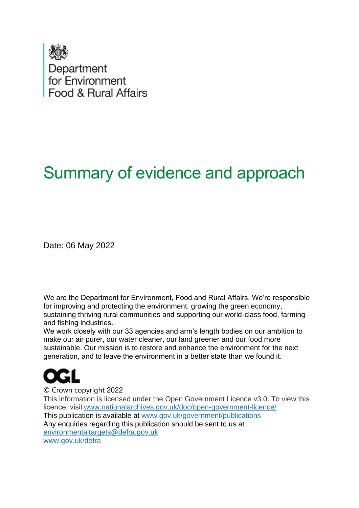

# Summary of evidence and approach

Date: 06 May 2022

We are the Department for Environment, Food and Rural Affairs. We're responsible for improving and protecting the environment, growing the green economy, sustaining thriving rural communities and supporting our world-class food, farming and fishing industries.   

We work closely with our 33 agencies and arm's length bodies on our ambition to make our air purer, our water cleaner, our land greener and our food more sustainable. Our mission is to restore and enhance the environment for the next generation, and to leave the environment in a better state than we found it.  



© Crown copyright 2022   This information is licensed under the Open Government Licence v3.0. To view this licence, visit[www.nationalarchives.gov.uk/doc/open-government-licence/](http://www.nationalarchives.gov.uk/doc/open-government-licence/)   This publication is available at [www.gov.uk/government/publications](http://www.gov.uk/government/publications)    Any enquiries regarding this publication should be sent to us at [environmentaltargets@defra.gov.uk](mailto:environmentaltargets@defra.gov.uk) [www.gov.uk/defra](http://www.gov.uk/defra)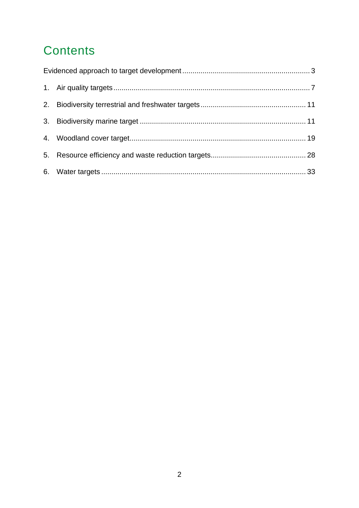# **Contents**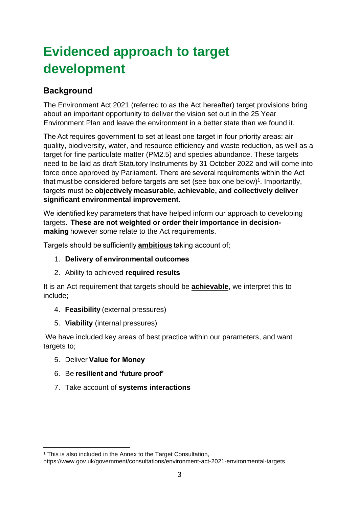# <span id="page-2-0"></span>**Evidenced approach to target development**

# **Background**

The Environment Act 2021 (referred to as the Act hereafter) target provisions bring about an important opportunity to deliver the vision set out in the 25 Year Environment Plan and leave the environment in a better state than we found it.

The Act requires government to set at least one target in four priority areas: air quality, biodiversity, water, and resource efficiency and waste reduction, as well as a target for fine particulate matter (PM2.5) and species abundance. These targets need to be laid as draft Statutory Instruments by 31 October 2022 and will come into force once approved by Parliament. There are several requirements within the Act that must be considered before targets are set (see box one below)<sup>1</sup>. Importantly, targets must be **objectively measurable, achievable, and collectively deliver significant environmental improvement**.   

We identified key parameters that have helped inform our approach to developing targets.  **These are not weighted or order their importance in decisionmaking**however some relate to the Act requirements.  

Targets should be sufficiently **ambitious** taking account of;  

- 1. **Delivery of environmental outcomes**
- 2. Ability to achieved **required results**

It is an Act requirement that targets should be **achievable**, we interpret this to include;

- 4. **Feasibility** (external pressures)
- 5. **Viability** (internal pressures)

We have included key areas of best practice within our parameters, and want targets to;  

- 5. Deliver **Value for Money**
- 6. Be **resilient and 'future proof'**
- 7. Take account of **systems interactions**

<sup>&</sup>lt;sup>1</sup> This is also included in the Annex to the Target Consultation,

https://www.gov.uk/government/consultations/environment-act-2021-environmental-targets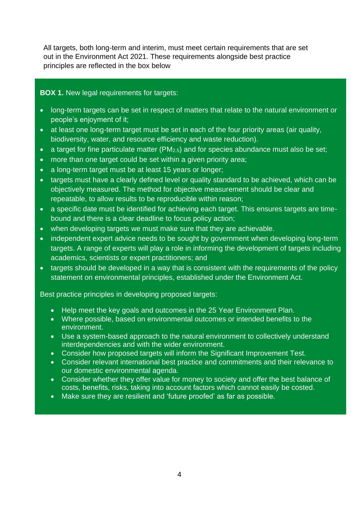All targets, both long-term and interim, must meet certain requirements that are set out in the Environment Act 2021. These requirements alongside best practice principles are reflected in the box below

#### **BOX 1.** New legal requirements for targets:

- long-term targets can be set in respect of matters that relate to the natural environment or people's enjoyment of it;
- at least one long-term target must be set in each of the four priority areas (air quality, biodiversity, water, and resource efficiency and waste reduction).
- a target for fine particulate matter (PM<sub>2.5</sub>) and for species abundance must also be set;
- more than one target could be set within a given priority area;
- a long-term target must be at least 15 years or longer;
- targets must have a clearly defined level or quality standard to be achieved, which can be objectively measured. The method for objective measurement should be clear and repeatable, to allow results to be reproducible within reason;
- a specific date must be identified for achieving each target. This ensures targets are timebound and there is a clear deadline to focus policy action;
- when developing targets we must make sure that they are achievable.
- independent expert advice needs to be sought by government when developing long-term targets. A range of experts will play a role in informing the development of targets including academics, scientists or expert practitioners; and
- targets should be developed in a way that is consistent with the requirements of the policy statement on environmental principles, established under the Environment Act.

#### Best practice principles in developing proposed targets:

- Help meet the key goals and outcomes in the 25 Year Environment Plan.
- Where possible, based on environmental outcomes or intended benefits to the environment.
- Use a system-based approach to the natural environment to collectively understand interdependencies and with the wider environment.
- Consider how proposed targets will inform the Significant Improvement Test.
- Consider relevant international best practice and commitments and their relevance to our domestic environmental agenda.
- Consider whether they offer value for money to society and offer the best balance of costs, benefits, risks, taking into account factors which cannot easily be costed.
- Make sure they are resilient and 'future proofed' as far as possible.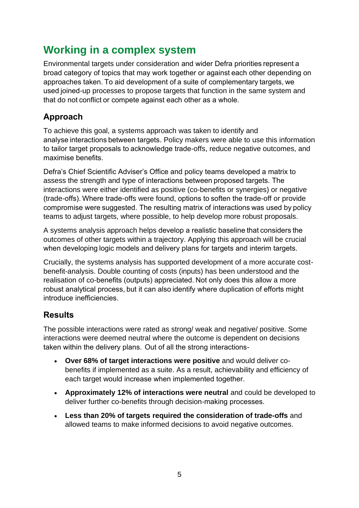# **Working in a complex system**

Environmental targets under consideration and wider Defra priorities represent a broad category of topics that may work together or against each other depending on approaches taken. To aid development of a suite of complementary targets, we used joined-up processes to propose targets that function in the same system and that do not conflict or compete against each other as a whole.  

# **Approach**

To achieve this goal, a systems approach was taken to identify and analyse interactions between targets. Policy makers were able to use this information to tailor target proposals to acknowledge trade-offs, reduce negative outcomes, and maximise benefits.  

Defra's Chief Scientific Adviser's Office and policy teams developed a matrix to assess the strength and type of interactions between proposed targets. The interactions were either identified as positive (co-benefits or synergies) or negative (trade-offs). Where trade-offs were found, options to soften the trade-off or provide compromise were suggested. The resulting matrix of interactions was used by policy teams to adjust targets, where possible, to help develop more robust proposals. 

A systems analysis approach helps develop a realistic baseline that considers the outcomes of other targets within a trajectory. Applying this approach will be crucial when developing logic models and delivery plans for targets and interim targets. 

Crucially, the systems analysis has supported development of a more accurate costbenefit-analysis. Double counting of costs (inputs) has been understood and the realisation of co-benefits (outputs) appreciated. Not only does this allow a more robust analytical process, but it can also identify where duplication of efforts might introduce inefficiencies. 

# **Results**

The possible interactions were rated as strong/ weak and negative/ positive. Some interactions were deemed neutral where the outcome is dependent on decisions taken within the delivery plans.  Out of all the strong interactions-  

- **Over 68% of target interactions were positive** and would deliver cobenefits if implemented as a suite. As a result, achievability and efficiency of each target would increase when implemented together.
- **Approximately 12% of interactions were neutral** and could be developed to deliver further co-benefits through decision-making processes.
- **Less than 20% of targets required the consideration of trade-offs** and allowed teams to make informed decisions to avoid negative outcomes.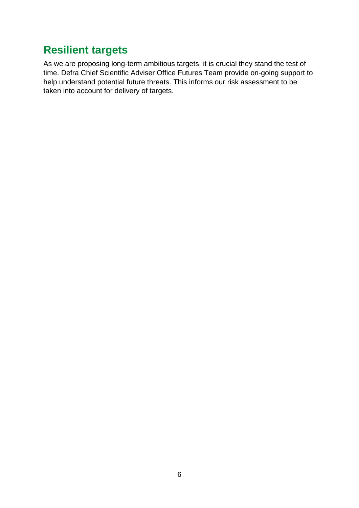# **Resilient targets**

As we are proposing long-term ambitious targets, it is crucial they stand the test of time. Defra Chief Scientific Adviser Office Futures Team provide on-going support to help understand potential future threats. This informs our risk assessment to be taken into account for delivery of targets.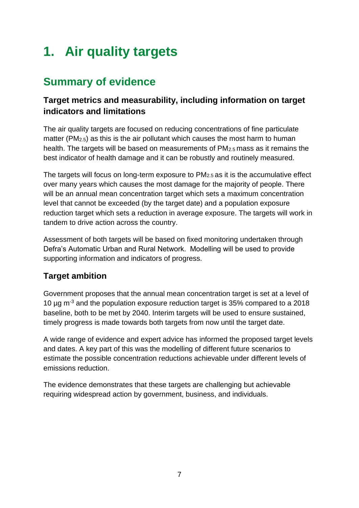# <span id="page-6-0"></span>**1. Air quality targets**

# **Summary of evidence**

# **Target metrics and measurability, including information on target indicators and limitations**

The air quality targets are focused on reducing concentrations of fine particulate matter (PM<sub>2.5</sub>) as this is the air pollutant which causes the most harm to human health. The targets will be based on measurements of PM2.5 mass as it remains the best indicator of health damage and it can be robustly and routinely measured.

The targets will focus on long-term exposure to PM2.5 as it is the accumulative effect over many years which causes the most damage for the majority of people. There will be an annual mean concentration target which sets a maximum concentration level that cannot be exceeded (by the target date) and a population exposure reduction target which sets a reduction in average exposure. The targets will work in tandem to drive action across the country.

Assessment of both targets will be based on fixed monitoring undertaken through Defra's Automatic Urban and Rural Network. Modelling will be used to provide supporting information and indicators of progress.

# **Target ambition**

Government proposes that the annual mean concentration target is set at a level of 10  $\mu$ g m<sup>-3</sup> and the population exposure reduction target is 35% compared to a 2018 baseline, both to be met by 2040. Interim targets will be used to ensure sustained, timely progress is made towards both targets from now until the target date.

A wide range of evidence and expert advice has informed the proposed target levels and dates. A key part of this was the modelling of different future scenarios to estimate the possible concentration reductions achievable under different levels of emissions reduction.

The evidence demonstrates that these targets are challenging but achievable requiring widespread action by government, business, and individuals.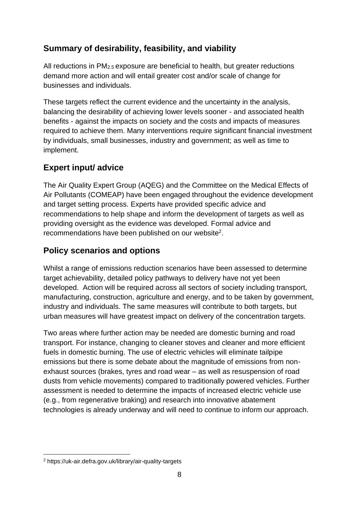# **Summary of desirability, feasibility, and viability**

All reductions in PM2.5 exposure are beneficial to health, but greater reductions demand more action and will entail greater cost and/or scale of change for businesses and individuals.

These targets reflect the current evidence and the uncertainty in the analysis, balancing the desirability of achieving lower levels sooner - and associated health benefits - against the impacts on society and the costs and impacts of measures required to achieve them. Many interventions require significant financial investment by individuals, small businesses, industry and government; as well as time to implement.

## **Expert input/ advice**

The Air Quality Expert Group (AQEG) and the Committee on the Medical Effects of Air Pollutants (COMEAP) have been engaged throughout the evidence development and target setting process. Experts have provided specific advice and recommendations to help shape and inform the development of targets as well as providing oversight as the evidence was developed. Formal advice and recommendations have been published on our website<sup>2</sup>.

# **Policy scenarios and options**

Whilst a range of emissions reduction scenarios have been assessed to determine target achievability, detailed policy pathways to delivery have not yet been developed. Action will be required across all sectors of society including transport, manufacturing, construction, agriculture and energy, and to be taken by government, industry and individuals. The same measures will contribute to both targets, but urban measures will have greatest impact on delivery of the concentration targets.

Two areas where further action may be needed are domestic burning and road transport. For instance, changing to cleaner stoves and cleaner and more efficient fuels in domestic burning. The use of electric vehicles will eliminate tailpipe emissions but there is some debate about the magnitude of emissions from nonexhaust sources (brakes, tyres and road wear – as well as resuspension of road dusts from vehicle movements) compared to traditionally powered vehicles. Further assessment is needed to determine the impacts of increased electric vehicle use (e.g., from regenerative braking) and research into innovative abatement technologies is already underway and will need to continue to inform our approach.

<sup>2</sup> https://uk-air.defra.gov.uk/library/air-quality-targets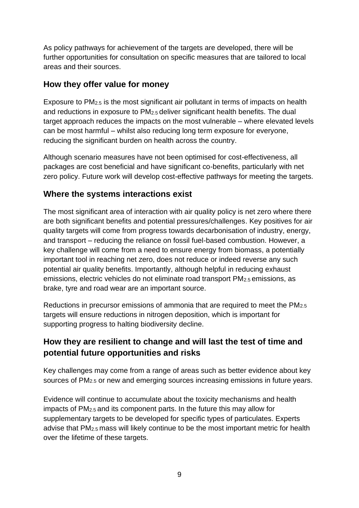As policy pathways for achievement of the targets are developed, there will be further opportunities for consultation on specific measures that are tailored to local areas and their sources.

## **How they offer value for money**

Exposure to PM2.5 is the most significant air pollutant in terms of impacts on health and reductions in exposure to PM2.5 deliver significant health benefits. The dual target approach reduces the impacts on the most vulnerable – where elevated levels can be most harmful – whilst also reducing long term exposure for everyone, reducing the significant burden on health across the country.

Although scenario measures have not been optimised for cost-effectiveness, all packages are cost beneficial and have significant co-benefits, particularly with net zero policy. Future work will develop cost-effective pathways for meeting the targets.

## **Where the systems interactions exist**

The most significant area of interaction with air quality policy is net zero where there are both significant benefits and potential pressures/challenges. Key positives for air quality targets will come from progress towards decarbonisation of industry, energy, and transport – reducing the reliance on fossil fuel-based combustion. However, a key challenge will come from a need to ensure energy from biomass, a potentially important tool in reaching net zero, does not reduce or indeed reverse any such potential air quality benefits. Importantly, although helpful in reducing exhaust emissions, electric vehicles do not eliminate road transport PM2.5 emissions, as brake, tyre and road wear are an important source.

Reductions in precursor emissions of ammonia that are required to meet the PM2.5 targets will ensure reductions in nitrogen deposition, which is important for supporting progress to halting biodiversity decline.

# **How they are resilient to change and will last the test of time and potential future opportunities and risks**

Key challenges may come from a range of areas such as better evidence about key sources of PM2.5 or new and emerging sources increasing emissions in future years.

Evidence will continue to accumulate about the toxicity mechanisms and health impacts of PM2.5 and its component parts. In the future this may allow for supplementary targets to be developed for specific types of particulates. Experts advise that PM2.5 mass will likely continue to be the most important metric for health over the lifetime of these targets.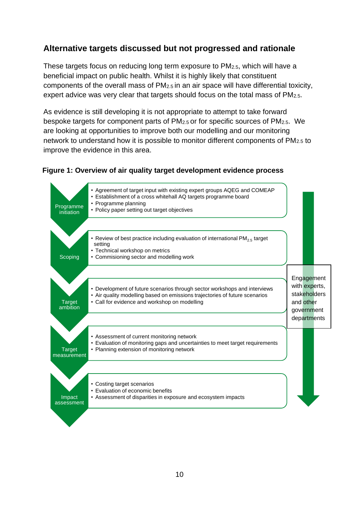## **Alternative targets discussed but not progressed and rationale**

These targets focus on reducing long term exposure to PM2.5, which will have a beneficial impact on public health. Whilst it is highly likely that constituent components of the overall mass of  $PM<sub>2.5</sub>$  in an air space will have differential toxicity, expert advice was very clear that targets should focus on the total mass of PM2.5.

As evidence is still developing it is not appropriate to attempt to take forward bespoke targets for component parts of PM2.5 or for specific sources of PM2.5. We are looking at opportunities to improve both our modelling and our monitoring network to understand how it is possible to monitor different components of PM2.5 to improve the evidence in this area.

#### **Figure 1: Overview of air quality target development evidence process**

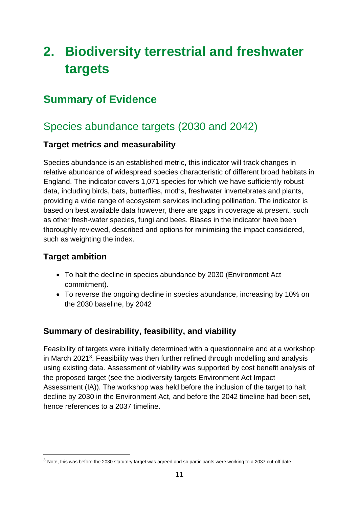# <span id="page-10-0"></span>**2. Biodiversity terrestrial and freshwater targets**

# <span id="page-10-1"></span>**Summary of Evidence**

# Species abundance targets (2030 and 2042)

### **Target metrics and measurability**

Species abundance is an established metric, this indicator will track changes in relative abundance of widespread species characteristic of different broad habitats in England. The indicator covers 1,071 species for which we have sufficiently robust data, including birds, bats, butterflies, moths, freshwater invertebrates and plants, providing a wide range of ecosystem services including pollination. The indicator is based on best available data however, there are gaps in coverage at present, such as other fresh-water species, fungi and bees. Biases in the indicator have been thoroughly reviewed, described and options for minimising the impact considered, such as weighting the index.

## **Target ambition**

- To halt the decline in species abundance by 2030 (Environment Act commitment).
- To reverse the ongoing decline in species abundance, increasing by 10% on the 2030 baseline, by 2042

# **Summary of desirability, feasibility, and viability**

Feasibility of targets were initially determined with a questionnaire and at a workshop in March 2021<sup>3</sup>. Feasibility was then further refined through modelling and analysis using existing data. Assessment of viability was supported by cost benefit analysis of the proposed target (see the biodiversity targets Environment Act Impact Assessment (IA)). The workshop was held before the inclusion of the target to halt decline by 2030 in the Environment Act, and before the 2042 timeline had been set, hence references to a 2037 timeline.

<sup>&</sup>lt;sup>3</sup> Note, this was before the 2030 statutory target was agreed and so participants were working to a 2037 cut-off date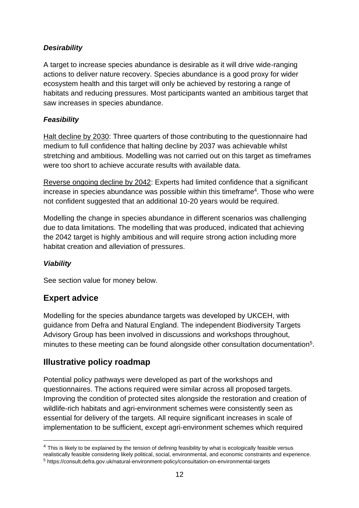### *Desirability*

A target to increase species abundance is desirable as it will drive wide-ranging actions to deliver nature recovery. Species abundance is a good proxy for wider ecosystem health and this target will only be achieved by restoring a range of habitats and reducing pressures. Most participants wanted an ambitious target that saw increases in species abundance.

### *Feasibility*

Halt decline by 2030: Three quarters of those contributing to the questionnaire had medium to full confidence that halting decline by 2037 was achievable whilst stretching and ambitious. Modelling was not carried out on this target as timeframes were too short to achieve accurate results with available data.

Reverse ongoing decline by 2042: Experts had limited confidence that a significant increase in species abundance was possible within this timeframe<sup>4</sup>. Those who were not confident suggested that an additional 10-20 years would be required.

Modelling the change in species abundance in different scenarios was challenging due to data limitations. The modelling that was produced, indicated that achieving the 2042 target is highly ambitious and will require strong action including more habitat creation and alleviation of pressures.

#### *Viability*

See section value for money below.

# **Expert advice**

Modelling for the species abundance targets was developed by UKCEH, with guidance from Defra and Natural England. The independent Biodiversity Targets Advisory Group has been involved in discussions and workshops throughout, minutes to these meeting can be found alongside other consultation documentation<sup>5</sup>.

### **Illustrative policy roadmap**

Potential policy pathways were developed as part of the workshops and questionnaires. The actions required were similar across all proposed targets. Improving the condition of protected sites alongside the restoration and creation of wildlife-rich habitats and agri-environment schemes were consistently seen as essential for delivery of the targets. All require significant increases in scale of implementation to be sufficient, except agri-environment schemes which required

<sup>&</sup>lt;sup>4</sup> This is likely to be explained by the tension of defining feasibility by what is ecologically feasible versus realistically feasible considering likely political, social, environmental, and economic constraints and experience. <sup>5</sup> https://consult.defra.gov.uk/natural-environment-policy/consultation-on-environmental-targets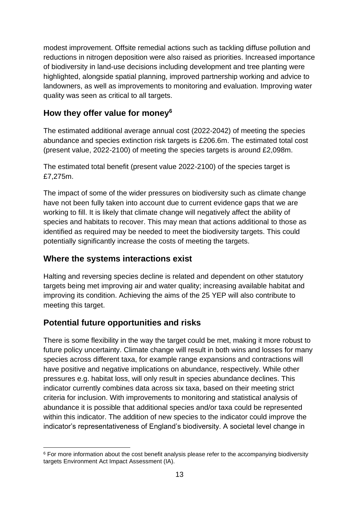modest improvement. Offsite remedial actions such as tackling diffuse pollution and reductions in nitrogen deposition were also raised as priorities. Increased importance of biodiversity in land-use decisions including development and tree planting were highlighted, alongside spatial planning, improved partnership working and advice to landowners, as well as improvements to monitoring and evaluation. Improving water quality was seen as critical to all targets.

# **How they offer value for money<sup>6</sup>**

The estimated additional average annual cost (2022-2042) of meeting the species abundance and species extinction risk targets is £206.6m. The estimated total cost (present value, 2022-2100) of meeting the species targets is around £2,098m.

The estimated total benefit (present value 2022-2100) of the species target is £7,275m.

The impact of some of the wider pressures on biodiversity such as climate change have not been fully taken into account due to current evidence gaps that we are working to fill. It is likely that climate change will negatively affect the ability of species and habitats to recover. This may mean that actions additional to those as identified as required may be needed to meet the biodiversity targets. This could potentially significantly increase the costs of meeting the targets.

### **Where the systems interactions exist**

Halting and reversing species decline is related and dependent on other statutory targets being met improving air and water quality; increasing available habitat and improving its condition. Achieving the aims of the 25 YEP will also contribute to meeting this target.

### **Potential future opportunities and risks**

There is some flexibility in the way the target could be met, making it more robust to future policy uncertainty. Climate change will result in both wins and losses for many species across different taxa, for example range expansions and contractions will have positive and negative implications on abundance, respectively. While other pressures e.g. habitat loss, will only result in species abundance declines. This indicator currently combines data across six taxa, based on their meeting strict criteria for inclusion. With improvements to monitoring and statistical analysis of abundance it is possible that additional species and/or taxa could be represented within this indicator. The addition of new species to the indicator could improve the indicator's representativeness of England's biodiversity. A societal level change in

 $6$  For more information about the cost benefit analysis please refer to the accompanying biodiversity targets Environment Act Impact Assessment (IA).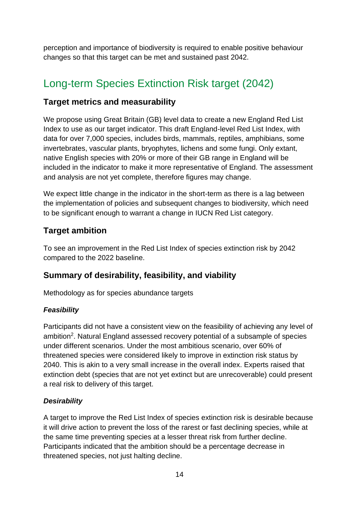perception and importance of biodiversity is required to enable positive behaviour changes so that this target can be met and sustained past 2042.

# Long-term Species Extinction Risk target (2042)

### **Target metrics and measurability**

We propose using Great Britain (GB) level data to create a new England Red List Index to use as our target indicator. This draft England-level Red List Index, with data for over 7,000 species, includes birds, mammals, reptiles, amphibians, some invertebrates, vascular plants, bryophytes, lichens and some fungi. Only extant, native English species with 20% or more of their GB range in England will be included in the indicator to make it more representative of England. The assessment and analysis are not yet complete, therefore figures may change.

We expect little change in the indicator in the short-term as there is a lag between the implementation of policies and subsequent changes to biodiversity, which need to be significant enough to warrant a change in IUCN Red List category.

### **Target ambition**

To see an improvement in the Red List Index of species extinction risk by 2042 compared to the 2022 baseline.

### **Summary of desirability, feasibility, and viability**

Methodology as for species abundance targets

#### *Feasibility*

Participants did not have a consistent view on the feasibility of achieving any level of ambition<sup>2</sup>. Natural England assessed recovery potential of a subsample of species under different scenarios. Under the most ambitious scenario, over 60% of threatened species were considered likely to improve in extinction risk status by 2040. This is akin to a very small increase in the overall index. Experts raised that extinction debt (species that are not yet extinct but are unrecoverable) could present a real risk to delivery of this target.

#### *Desirability*

A target to improve the Red List Index of species extinction risk is desirable because it will drive action to prevent the loss of the rarest or fast declining species, while at the same time preventing species at a lesser threat risk from further decline. Participants indicated that the ambition should be a percentage decrease in threatened species, not just halting decline.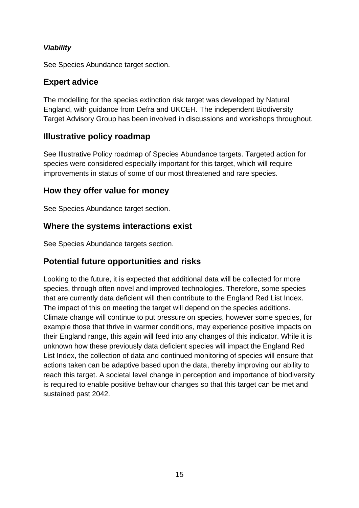### *Viability*

See Species Abundance target section.

## **Expert advice**

The modelling for the species extinction risk target was developed by Natural England, with guidance from Defra and UKCEH. The independent Biodiversity Target Advisory Group has been involved in discussions and workshops throughout.

### **Illustrative policy roadmap**

See Illustrative Policy roadmap of Species Abundance targets. Targeted action for species were considered especially important for this target, which will require improvements in status of some of our most threatened and rare species.

### **How they offer value for money**

See Species Abundance target section.

### **Where the systems interactions exist**

See Species Abundance targets section.

# **Potential future opportunities and risks**

Looking to the future, it is expected that additional data will be collected for more species, through often novel and improved technologies. Therefore, some species that are currently data deficient will then contribute to the England Red List Index. The impact of this on meeting the target will depend on the species additions. Climate change will continue to put pressure on species, however some species, for example those that thrive in warmer conditions, may experience positive impacts on their England range, this again will feed into any changes of this indicator. While it is unknown how these previously data deficient species will impact the England Red List Index, the collection of data and continued monitoring of species will ensure that actions taken can be adaptive based upon the data, thereby improving our ability to reach this target. A societal level change in perception and importance of biodiversity is required to enable positive behaviour changes so that this target can be met and sustained past 2042.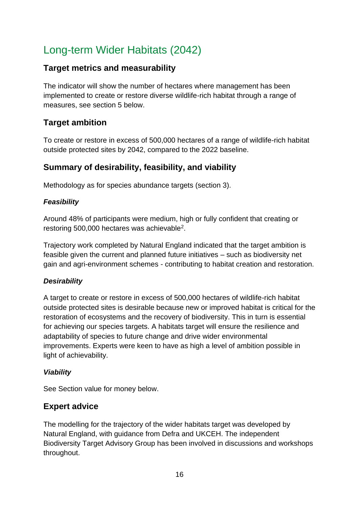# Long-term Wider Habitats (2042)

### **Target metrics and measurability**

The indicator will show the number of hectares where management has been implemented to create or restore diverse wildlife-rich habitat through a range of measures, see section 5 below.

### **Target ambition**

To create or restore in excess of 500,000 hectares of a range of wildlife-rich habitat outside protected sites by 2042, compared to the 2022 baseline.

## **Summary of desirability, feasibility, and viability**

Methodology as for species abundance targets (section 3).

#### *Feasibility*

Around 48% of participants were medium, high or fully confident that creating or restoring 500,000 hectares was achievable<sup>2</sup>.

Trajectory work completed by Natural England indicated that the target ambition is feasible given the current and planned future initiatives – such as biodiversity net gain and agri-environment schemes - contributing to habitat creation and restoration.

#### *Desirability*

A target to create or restore in excess of 500,000 hectares of wildlife-rich habitat outside protected sites is desirable because new or improved habitat is critical for the restoration of ecosystems and the recovery of biodiversity. This in turn is essential for achieving our species targets. A habitats target will ensure the resilience and adaptability of species to future change and drive wider environmental improvements. Experts were keen to have as high a level of ambition possible in light of achievability.

#### *Viability*

See Section value for money below.

### **Expert advice**

The modelling for the trajectory of the wider habitats target was developed by Natural England, with guidance from Defra and UKCEH. The independent Biodiversity Target Advisory Group has been involved in discussions and workshops throughout.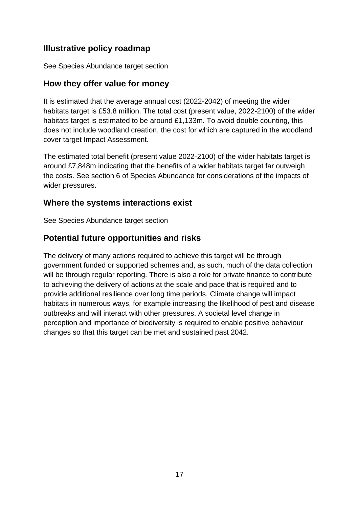## **Illustrative policy roadmap**

See Species Abundance target section

### **How they offer value for money**

It is estimated that the average annual cost (2022-2042) of meeting the wider habitats target is £53.8 million. The total cost (present value, 2022-2100) of the wider habitats target is estimated to be around £1,133m. To avoid double counting, this does not include woodland creation, the cost for which are captured in the woodland cover target Impact Assessment.

The estimated total benefit (present value 2022-2100) of the wider habitats target is around £7,848m indicating that the benefits of a wider habitats target far outweigh the costs. See section 6 of Species Abundance for considerations of the impacts of wider pressures.

### **Where the systems interactions exist**

See Species Abundance target section

# **Potential future opportunities and risks**

The delivery of many actions required to achieve this target will be through government funded or supported schemes and, as such, much of the data collection will be through regular reporting. There is also a role for private finance to contribute to achieving the delivery of actions at the scale and pace that is required and to provide additional resilience over long time periods. Climate change will impact habitats in numerous ways, for example increasing the likelihood of pest and disease outbreaks and will interact with other pressures. A societal level change in perception and importance of biodiversity is required to enable positive behaviour changes so that this target can be met and sustained past 2042.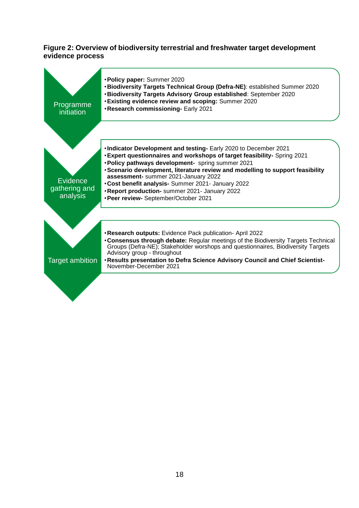#### **Figure 2: Overview of biodiversity terrestrial and freshwater target development evidence process**

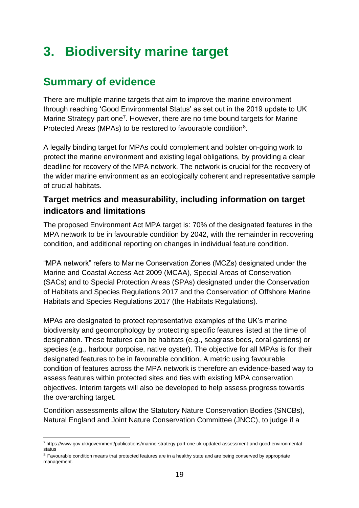# **3. Biodiversity marine target**

# **Summary of evidence**

<span id="page-18-0"></span>There are multiple marine targets that aim to improve the marine environment through reaching 'Good Environmental Status' as set out in the 2019 update to UK Marine Strategy part one<sup>7</sup>. However, there are no time bound targets for Marine Protected Areas (MPAs) to be restored to favourable condition<sup>8</sup>.

A legally binding target for MPAs could complement and bolster on-going work to protect the marine environment and existing legal obligations, by providing a clear deadline for recovery of the MPA network. The network is crucial for the recovery of the wider marine environment as an ecologically coherent and representative sample of crucial habitats.

## **Target metrics and measurability, including information on target indicators and limitations**

The proposed Environment Act MPA target is: 70% of the designated features in the MPA network to be in favourable condition by 2042, with the remainder in recovering condition, and additional reporting on changes in individual feature condition.

"MPA network" refers to Marine Conservation Zones (MCZs) designated under the Marine and Coastal Access Act 2009 (MCAA), Special Areas of Conservation (SACs) and to Special Protection Areas (SPAs) designated under the Conservation of Habitats and Species Regulations 2017 and the Conservation of Offshore Marine Habitats and Species Regulations 2017 (the Habitats Regulations).

MPAs are designated to protect representative examples of the UK's marine biodiversity and geomorphology by protecting specific features listed at the time of designation. These features can be habitats (e.g., seagrass beds, coral gardens) or species (e.g*.,* harbour porpoise, native oyster). The objective for all MPAs is for their designated features to be in favourable condition. A metric using favourable condition of features across the MPA network is therefore an evidence-based way to assess features within protected sites and ties with existing MPA conservation objectives. Interim targets will also be developed to help assess progress towards the overarching target.

Condition assessments allow the Statutory Nature Conservation Bodies (SNCBs), Natural England and Joint Nature Conservation Committee (JNCC), to judge if a

<sup>7</sup> [https://www.gov.uk/government/publications/marine-strategy-part-one-uk-updated-assessment-and-good-environmental](https://www.gov.uk/government/publications/marine-strategy-part-one-uk-updated-assessment-and-good-environmental-status)[status](https://www.gov.uk/government/publications/marine-strategy-part-one-uk-updated-assessment-and-good-environmental-status)

<sup>&</sup>lt;sup>8</sup> Favourable condition means that protected features are in a healthy state and are being conserved by appropriate management.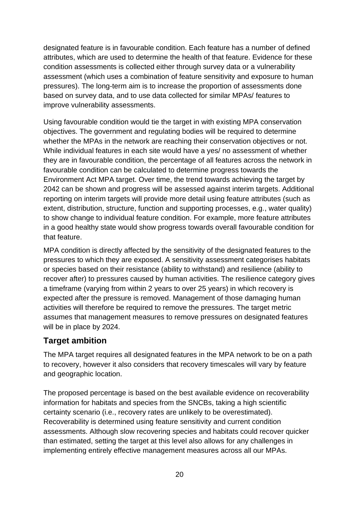designated feature is in favourable condition. Each feature has a number of defined attributes, which are used to determine the health of that feature. Evidence for these condition assessments is collected either through survey data or a vulnerability assessment (which uses a combination of feature sensitivity and exposure to human pressures). The long-term aim is to increase the proportion of assessments done based on survey data, and to use data collected for similar MPAs/ features to improve vulnerability assessments.

Using favourable condition would tie the target in with existing MPA conservation objectives. The government and regulating bodies will be required to determine whether the MPAs in the network are reaching their conservation objectives or not. While individual features in each site would have a yes/ no assessment of whether they are in favourable condition, the percentage of all features across the network in favourable condition can be calculated to determine progress towards the Environment Act MPA target. Over time, the trend towards achieving the target by 2042 can be shown and progress will be assessed against interim targets. Additional reporting on interim targets will provide more detail using feature attributes (such as extent, distribution, structure, function and supporting processes, e.g., water quality) to show change to individual feature condition. For example, more feature attributes in a good healthy state would show progress towards overall favourable condition for that feature.

MPA condition is directly affected by the sensitivity of the designated features to the pressures to which they are exposed. A sensitivity assessment categorises habitats or species based on their resistance (ability to withstand) and resilience (ability to recover after) to pressures caused by human activities. The resilience category gives a timeframe (varying from within 2 years to over 25 years) in which recovery is expected after the pressure is removed. Management of those damaging human activities will therefore be required to remove the pressures. The target metric assumes that management measures to remove pressures on designated features will be in place by 2024.

### **Target ambition**

The MPA target requires all designated features in the MPA network to be on a path to recovery, however it also considers that recovery timescales will vary by feature and geographic location.

The proposed percentage is based on the best available evidence on recoverability information for habitats and species from the SNCBs, taking a high scientific certainty scenario (i.e., recovery rates are unlikely to be overestimated). Recoverability is determined using feature sensitivity and current condition assessments. Although slow recovering species and habitats could recover quicker than estimated, setting the target at this level also allows for any challenges in implementing entirely effective management measures across all our MPAs.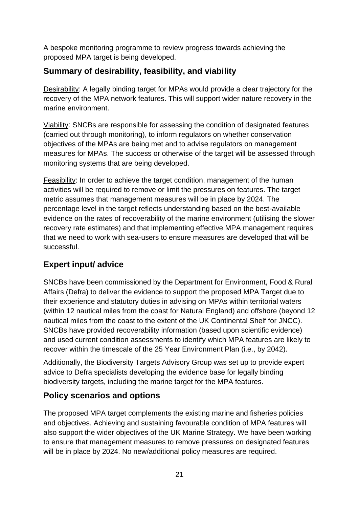A bespoke monitoring programme to review progress towards achieving the proposed MPA target is being developed.

# **Summary of desirability, feasibility, and viability**

Desirability: A legally binding target for MPAs would provide a clear trajectory for the recovery of the MPA network features. This will support wider nature recovery in the marine environment.

Viability: SNCBs are responsible for assessing the condition of designated features (carried out through monitoring), to inform regulators on whether conservation objectives of the MPAs are being met and to advise regulators on management measures for MPAs. The success or otherwise of the target will be assessed through monitoring systems that are being developed.

Feasibility: In order to achieve the target condition, management of the human activities will be required to remove or limit the pressures on features. The target metric assumes that management measures will be in place by 2024. The percentage level in the target reflects understanding based on the best-available evidence on the rates of recoverability of the marine environment (utilising the slower recovery rate estimates) and that implementing effective MPA management requires that we need to work with sea-users to ensure measures are developed that will be successful.

# **Expert input/ advice**

SNCBs have been commissioned by the Department for Environment, Food & Rural Affairs (Defra) to deliver the evidence to support the proposed MPA Target due to their experience and statutory duties in advising on MPAs within territorial waters (within 12 nautical miles from the coast for Natural England) and offshore (beyond 12 nautical miles from the coast to the extent of the UK Continental Shelf for JNCC). SNCBs have provided recoverability information (based upon scientific evidence) and used current condition assessments to identify which MPA features are likely to recover within the timescale of the 25 Year Environment Plan (i.e., by 2042).

Additionally, the Biodiversity Targets Advisory Group was set up to provide expert advice to Defra specialists developing the evidence base for legally binding biodiversity targets, including the marine target for the MPA features.

# **Policy scenarios and options**

The proposed MPA target complements the existing marine and fisheries policies and objectives. Achieving and sustaining favourable condition of MPA features will also support the wider objectives of the UK Marine Strategy. We have been working to ensure that management measures to remove pressures on designated features will be in place by 2024. No new/additional policy measures are required.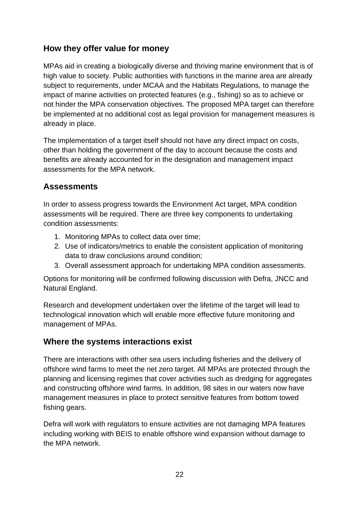## **How they offer value for money**

MPAs aid in creating a biologically diverse and thriving marine environment that is of high value to society. Public authorities with functions in the marine area are already subject to requirements, under MCAA and the Habitats Regulations, to manage the impact of marine activities on protected features (e.g., fishing) so as to achieve or not hinder the MPA conservation objectives. The proposed MPA target can therefore be implemented at no additional cost as legal provision for management measures is already in place.

The implementation of a target itself should not have any direct impact on costs, other than holding the government of the day to account because the costs and benefits are already accounted for in the designation and management impact assessments for the MPA network.

## **Assessments**

In order to assess progress towards the Environment Act target, MPA condition assessments will be required. There are three key components to undertaking condition assessments:

- 1. Monitoring MPAs to collect data over time;
- 2. Use of indicators/metrics to enable the consistent application of monitoring data to draw conclusions around condition;
- 3. Overall assessment approach for undertaking MPA condition assessments.

Options for monitoring will be confirmed following discussion with Defra, JNCC and Natural England.

Research and development undertaken over the lifetime of the target will lead to technological innovation which will enable more effective future monitoring and management of MPAs.

# **Where the systems interactions exist**

There are interactions with other sea users including fisheries and the delivery of offshore wind farms to meet the net zero target. All MPAs are protected through the planning and licensing regimes that cover activities such as dredging for aggregates and constructing offshore wind farms. In addition, 98 sites in our waters now have management measures in place to protect sensitive features from bottom towed fishing gears.

Defra will work with regulators to ensure activities are not damaging MPA features including working with BEIS to enable offshore wind expansion without damage to the MPA network.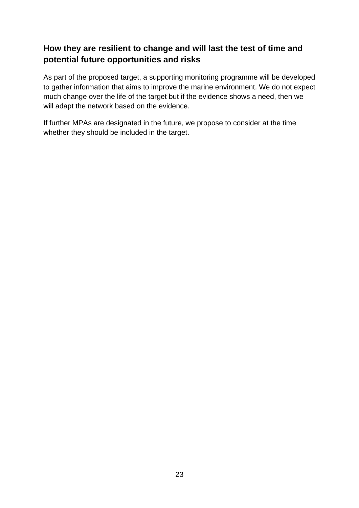## **How they are resilient to change and will last the test of time and potential future opportunities and risks**

As part of the proposed target, a supporting monitoring programme will be developed to gather information that aims to improve the marine environment. We do not expect much change over the life of the target but if the evidence shows a need, then we will adapt the network based on the evidence.

If further MPAs are designated in the future, we propose to consider at the time whether they should be included in the target.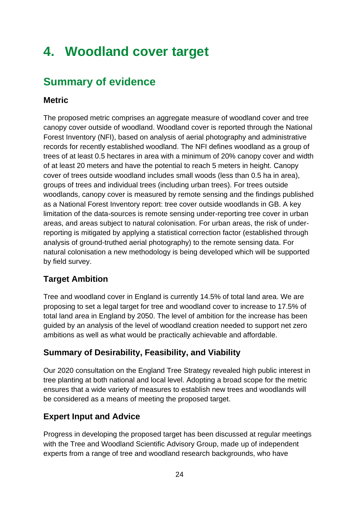# **4. Woodland cover target**

# **Summary of evidence**

## **Metric**

The proposed metric comprises an aggregate measure of woodland cover and tree canopy cover outside of woodland. Woodland cover is reported through the National Forest Inventory (NFI), based on analysis of aerial photography and administrative records for recently established woodland. The NFI defines woodland as a group of trees of at least 0.5 hectares in area with a minimum of 20% canopy cover and width of at least 20 meters and have the potential to reach 5 meters in height. Canopy cover of trees outside woodland includes small woods (less than 0.5 ha in area), groups of trees and individual trees (including urban trees). For trees outside woodlands, canopy cover is measured by remote sensing and the findings published as a National Forest Inventory report: tree cover outside woodlands in GB. A key limitation of the data-sources is remote sensing under-reporting tree cover in urban areas, and areas subject to natural colonisation. For urban areas, the risk of underreporting is mitigated by applying a statistical correction factor (established through analysis of ground-truthed aerial photography) to the remote sensing data. For natural colonisation a new methodology is being developed which will be supported by field survey.

# **Target Ambition**

Tree and woodland cover in England is currently 14.5% of total land area. We are proposing to set a legal target for tree and woodland cover to increase to 17.5% of total land area in England by 2050. The level of ambition for the increase has been guided by an analysis of the level of woodland creation needed to support net zero ambitions as well as what would be practically achievable and affordable.

# **Summary of Desirability, Feasibility, and Viability**

Our 2020 consultation on the England Tree Strategy revealed high public interest in tree planting at both national and local level. Adopting a broad scope for the metric ensures that a wide variety of measures to establish new trees and woodlands will be considered as a means of meeting the proposed target.

### **Expert Input and Advice**

Progress in developing the proposed target has been discussed at regular meetings with the Tree and Woodland Scientific Advisory Group, made up of independent experts from a range of tree and woodland research backgrounds, who have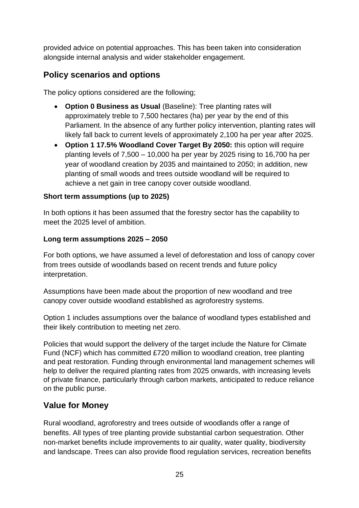provided advice on potential approaches. This has been taken into consideration alongside internal analysis and wider stakeholder engagement.

# **Policy scenarios and options**

The policy options considered are the following;

- **Option 0 Business as Usual (Baseline): Tree planting rates will** approximately treble to 7,500 hectares (ha) per year by the end of this Parliament. In the absence of any further policy intervention, planting rates will likely fall back to current levels of approximately 2,100 ha per year after 2025.
- **Option 1 17.5% Woodland Cover Target By 2050:** this option will require planting levels of 7,500 – 10,000 ha per year by 2025 rising to 16,700 ha per year of woodland creation by 2035 and maintained to 2050; in addition, new planting of small woods and trees outside woodland will be required to achieve a net gain in tree canopy cover outside woodland.

#### **Short term assumptions (up to 2025)**

In both options it has been assumed that the forestry sector has the capability to meet the 2025 level of ambition.

#### **Long term assumptions 2025 – 2050**

For both options, we have assumed a level of deforestation and loss of canopy cover from trees outside of woodlands based on recent trends and future policy interpretation.

Assumptions have been made about the proportion of new woodland and tree canopy cover outside woodland established as agroforestry systems.

Option 1 includes assumptions over the balance of woodland types established and their likely contribution to meeting net zero.

Policies that would support the delivery of the target include the Nature for Climate Fund (NCF) which has committed £720 million to woodland creation, tree planting and peat restoration. Funding through environmental land management schemes will help to deliver the required planting rates from 2025 onwards, with increasing levels of private finance, particularly through carbon markets, anticipated to reduce reliance on the public purse.

### **Value for Money**

Rural woodland, agroforestry and trees outside of woodlands offer a range of benefits. All types of tree planting provide substantial carbon sequestration. Other non-market benefits include improvements to air quality, water quality, biodiversity and landscape. Trees can also provide flood regulation services, recreation benefits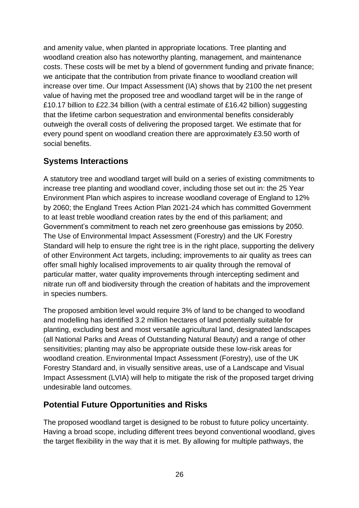and amenity value, when planted in appropriate locations. Tree planting and woodland creation also has noteworthy planting, management, and maintenance costs. These costs will be met by a blend of government funding and private finance; we anticipate that the contribution from private finance to woodland creation will increase over time. Our Impact Assessment (IA) shows that by 2100 the net present value of having met the proposed tree and woodland target will be in the range of £10.17 billion to £22.34 billion (with a central estimate of £16.42 billion) suggesting that the lifetime carbon sequestration and environmental benefits considerably outweigh the overall costs of delivering the proposed target. We estimate that for every pound spent on woodland creation there are approximately £3.50 worth of social benefits.

# **Systems Interactions**

A statutory tree and woodland target will build on a series of existing commitments to increase tree planting and woodland cover, including those set out in: the 25 Year Environment Plan which aspires to increase woodland coverage of England to 12% by 2060; the England Trees Action Plan 2021-24 which has committed Government to at least treble woodland creation rates by the end of this parliament; and Government's commitment to reach net zero greenhouse gas emissions by 2050. The Use of Environmental Impact Assessment (Forestry) and the UK Forestry Standard will help to ensure the right tree is in the right place, supporting the delivery of other Environment Act targets, including; improvements to air quality as trees can offer small highly localised improvements to air quality through the removal of particular matter, water quality improvements through intercepting sediment and nitrate run off and biodiversity through the creation of habitats and the improvement in species numbers.

The proposed ambition level would require 3% of land to be changed to woodland and modelling has identified 3.2 million hectares of land potentially suitable for planting, excluding best and most versatile agricultural land, designated landscapes (all National Parks and Areas of Outstanding Natural Beauty) and a range of other sensitivities; planting may also be appropriate outside these low-risk areas for woodland creation. Environmental Impact Assessment (Forestry), use of the UK Forestry Standard and, in visually sensitive areas, use of a Landscape and Visual Impact Assessment (LVIA) will help to mitigate the risk of the proposed target driving undesirable land outcomes.

### **Potential Future Opportunities and Risks**

The proposed woodland target is designed to be robust to future policy uncertainty. Having a broad scope, including different trees beyond conventional woodland, gives the target flexibility in the way that it is met. By allowing for multiple pathways, the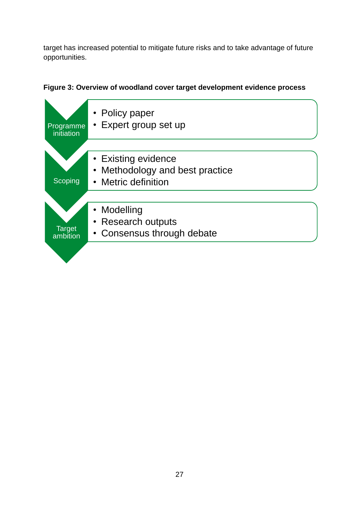target has increased potential to mitigate future risks and to take advantage of future opportunities.



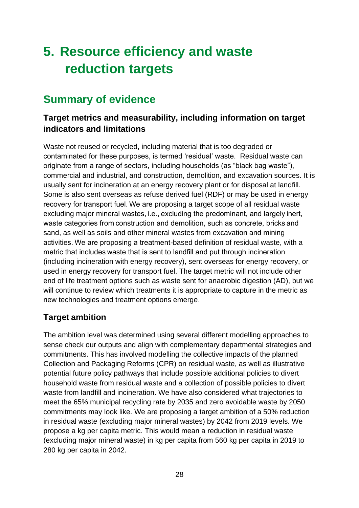# <span id="page-27-0"></span>**5. Resource efficiency and waste reduction targets**

# **Summary of evidence**

# **Target metrics and measurability, including information on target indicators and limitations**

Waste not reused or recycled, including material that is too degraded or contaminated for these purposes, is termed 'residual' waste. Residual waste can originate from a range of sectors, including households (as "black bag waste"), commercial and industrial, and construction, demolition, and excavation sources. It is usually sent for incineration at an energy recovery plant or for disposal at landfill. Some is also sent overseas as refuse derived fuel (RDF) or may be used in energy recovery for transport fuel. We are proposing a target scope of all residual waste excluding major mineral wastes, i.e., excluding the predominant, and largely inert, waste categories from construction and demolition, such as concrete, bricks and sand, as well as soils and other mineral wastes from excavation and mining activities. We are proposing a treatment-based definition of residual waste, with a metric that includes waste that is sent to landfill and put through incineration (including incineration with energy recovery), sent overseas for energy recovery, or used in energy recovery for transport fuel. The target metric will not include other end of life treatment options such as waste sent for anaerobic digestion (AD), but we will continue to review which treatments it is appropriate to capture in the metric as new technologies and treatment options emerge.

# **Target ambition**

The ambition level was determined using several different modelling approaches to sense check our outputs and align with complementary departmental strategies and commitments. This has involved modelling the collective impacts of the planned Collection and Packaging Reforms (CPR) on residual waste, as well as illustrative potential future policy pathways that include possible additional policies to divert household waste from residual waste and a collection of possible policies to divert waste from landfill and incineration. We have also considered what trajectories to meet the 65% municipal recycling rate by 2035 and zero avoidable waste by 2050 commitments may look like. We are proposing a target ambition of a 50% reduction in residual waste (excluding major mineral wastes) by 2042 from 2019 levels. We propose a kg per capita metric. This would mean a reduction in residual waste (excluding major mineral waste) in kg per capita from 560 kg per capita in 2019 to 280 kg per capita in 2042.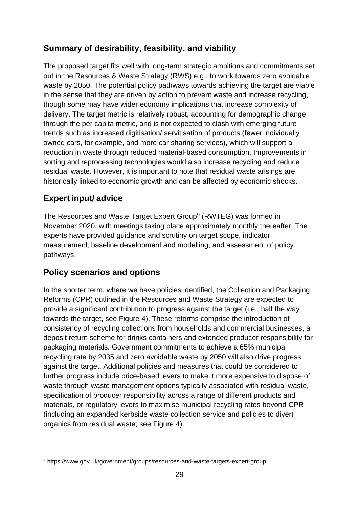# **Summary of desirability, feasibility, and viability**

The proposed target fits well with long-term strategic ambitions and commitments set out in the Resources & Waste Strategy (RWS) e.g., to work towards zero avoidable waste by 2050. The potential policy pathways towards achieving the target are viable in the sense that they are driven by action to prevent waste and increase recycling, though some may have wider economy implications that increase complexity of delivery. The target metric is relatively robust, accounting for demographic change through the per capita metric, and is not expected to clash with emerging future trends such as increased digitisation/ servitisation of products (fewer individually owned cars, for example, and more car sharing services), which will support a reduction in waste through reduced material-based consumption. Improvements in sorting and reprocessing technologies would also increase recycling and reduce residual waste. However, it is important to note that residual waste arisings are historically linked to economic growth and can be affected by economic shocks.

# **Expert input/ advice**

The Resources and Waste Target Expert Group<sup>9</sup> (RWTEG) was formed in November 2020, with meetings taking place approximately monthly thereafter. The experts have provided guidance and scrutiny on target scope, indicator measurement, baseline development and modelling, and assessment of policy pathways.

# **Policy scenarios and options**

In the shorter term, where we have policies identified, the Collection and Packaging Reforms (CPR) outlined in the Resources and Waste Strategy are expected to provide a significant contribution to progress against the target (i.e., half the way towards the target, see Figure 4). These reforms comprise the introduction of consistency of recycling collections from households and commercial businesses, a deposit return scheme for drinks containers and extended producer responsibility for packaging materials. Government commitments to achieve a 65% municipal recycling rate by 2035 and zero avoidable waste by 2050 will also drive progress against the target. Additional policies and measures that could be considered to further progress include price-based levers to make it more expensive to dispose of waste through waste management options typically associated with residual waste, specification of producer responsibility across a range of different products and materials, or regulatory levers to maximise municipal recycling rates beyond CPR (including an expanded kerbside waste collection service and policies to divert organics from residual waste; see Figure 4).

<sup>9</sup> https://www.gov.uk/government/groups/resources-and-waste-targets-expert-group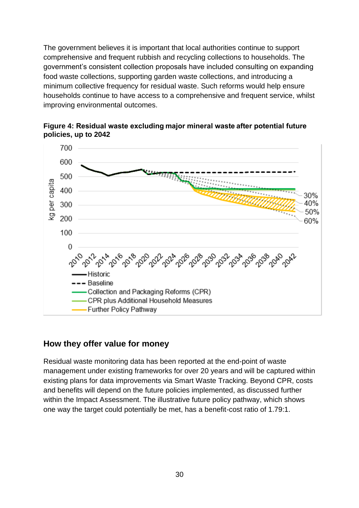The government believes it is important that local authorities continue to support comprehensive and frequent rubbish and recycling collections to households. The government's consistent collection proposals have included consulting on expanding food waste collections, supporting garden waste collections, and introducing a minimum collective frequency for residual waste. Such reforms would help ensure households continue to have access to a comprehensive and frequent service, whilst improving environmental outcomes.





### **How they offer value for money**

Residual waste monitoring data has been reported at the end-point of waste management under existing frameworks for over 20 years and will be captured within existing plans for data improvements via Smart Waste Tracking. Beyond CPR, costs and benefits will depend on the future policies implemented, as discussed further within the Impact Assessment. The illustrative future policy pathway, which shows one way the target could potentially be met, has a benefit-cost ratio of 1.79:1.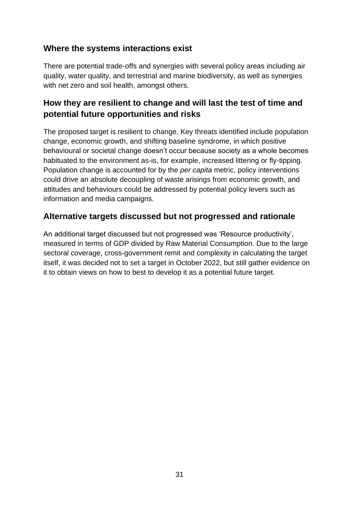## **Where the systems interactions exist**

There are potential trade-offs and synergies with several policy areas including air quality, water quality, and terrestrial and marine biodiversity, as well as synergies with net zero and soil health, amongst others.

## **How they are resilient to change and will last the test of time and potential future opportunities and risks**

The proposed target is resilient to change. Key threats identified include population change, economic growth, and shifting baseline syndrome, in which positive behavioural or societal change doesn't occur because society as a whole becomes habituated to the environment as-is, for example, increased littering or fly-tipping. Population change is accounted for by the *per capita* metric, policy interventions could drive an absolute decoupling of waste arisings from economic growth, and attitudes and behaviours could be addressed by potential policy levers such as information and media campaigns.

### **Alternative targets discussed but not progressed and rationale**

An additional target discussed but not progressed was 'Resource productivity', measured in terms of GDP divided by Raw Material Consumption. Due to the large sectoral coverage, cross-government remit and complexity in calculating the target itself, it was decided not to set a target in October 2022, but still gather evidence on it to obtain views on how to best to develop it as a potential future target.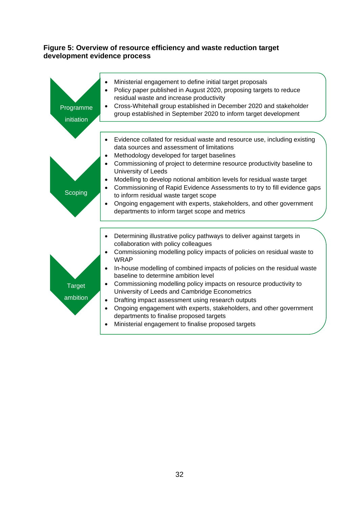#### **Figure 5: Overview of resource efficiency and waste reduction target development evidence process**

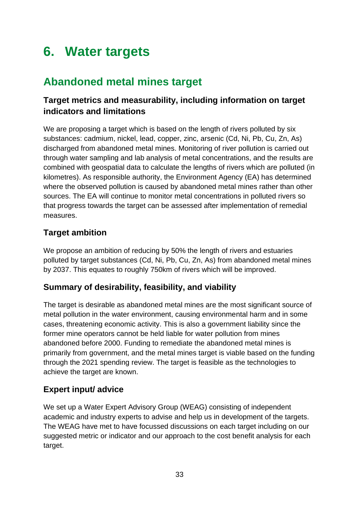# <span id="page-32-0"></span>**6. Water targets**

# **Abandoned metal mines target**

# **Target metrics and measurability, including information on target indicators and limitations**

We are proposing a target which is based on the length of rivers polluted by six substances: cadmium, nickel, lead, copper, zinc, arsenic (Cd, Ni, Pb, Cu, Zn, As) discharged from abandoned metal mines. Monitoring of river pollution is carried out through water sampling and lab analysis of metal concentrations, and the results are combined with geospatial data to calculate the lengths of rivers which are polluted (in kilometres). As responsible authority, the Environment Agency (EA) has determined where the observed pollution is caused by abandoned metal mines rather than other sources. The EA will continue to monitor metal concentrations in polluted rivers so that progress towards the target can be assessed after implementation of remedial measures.

# **Target ambition**

We propose an ambition of reducing by 50% the length of rivers and estuaries polluted by target substances (Cd, Ni, Pb, Cu, Zn, As) from abandoned metal mines by 2037. This equates to roughly 750km of rivers which will be improved.

# **Summary of desirability, feasibility, and viability**

The target is desirable as abandoned metal mines are the most significant source of metal pollution in the water environment, causing environmental harm and in some cases, threatening economic activity. This is also a government liability since the former mine operators cannot be held liable for water pollution from mines abandoned before 2000. Funding to remediate the abandoned metal mines is primarily from government, and the metal mines target is viable based on the funding through the 2021 spending review. The target is feasible as the technologies to achieve the target are known.

# **Expert input/ advice**

We set up a Water Expert Advisory Group (WEAG) consisting of independent academic and industry experts to advise and help us in development of the targets. The WEAG have met to have focussed discussions on each target including on our suggested metric or indicator and our approach to the cost benefit analysis for each target.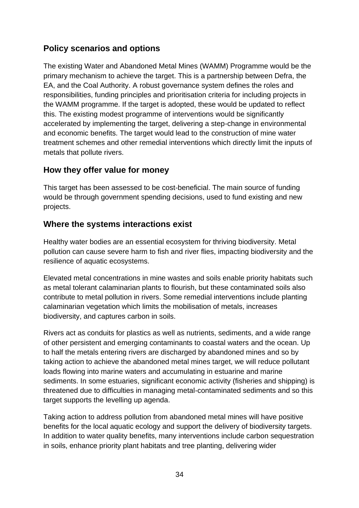# **Policy scenarios and options**

The existing Water and Abandoned Metal Mines (WAMM) Programme would be the primary mechanism to achieve the target. This is a partnership between Defra, the EA, and the Coal Authority. A robust governance system defines the roles and responsibilities, funding principles and prioritisation criteria for including projects in the WAMM programme. If the target is adopted, these would be updated to reflect this. The existing modest programme of interventions would be significantly accelerated by implementing the target, delivering a step-change in environmental and economic benefits. The target would lead to the construction of mine water treatment schemes and other remedial interventions which directly limit the inputs of metals that pollute rivers.

### **How they offer value for money**

This target has been assessed to be cost-beneficial. The main source of funding would be through government spending decisions, used to fund existing and new projects.

## **Where the systems interactions exist**

Healthy water bodies are an essential ecosystem for thriving biodiversity. Metal pollution can cause severe harm to fish and river flies, impacting biodiversity and the resilience of aquatic ecosystems.

Elevated metal concentrations in mine wastes and soils enable priority habitats such as metal tolerant calaminarian plants to flourish, but these contaminated soils also contribute to metal pollution in rivers. Some remedial interventions include planting calaminarian vegetation which limits the mobilisation of metals, increases biodiversity, and captures carbon in soils.

Rivers act as conduits for plastics as well as nutrients, sediments, and a wide range of other persistent and emerging contaminants to coastal waters and the ocean. Up to half the metals entering rivers are discharged by abandoned mines and so by taking action to achieve the abandoned metal mines target, we will reduce pollutant loads flowing into marine waters and accumulating in estuarine and marine sediments. In some estuaries, significant economic activity (fisheries and shipping) is threatened due to difficulties in managing metal-contaminated sediments and so this target supports the levelling up agenda.

Taking action to address pollution from abandoned metal mines will have positive benefits for the local aquatic ecology and support the delivery of biodiversity targets. In addition to water quality benefits, many interventions include carbon sequestration in soils, enhance priority plant habitats and tree planting, delivering wider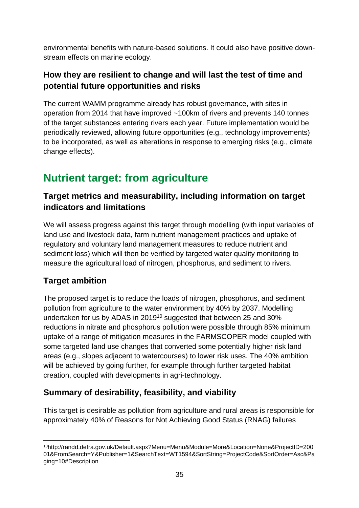environmental benefits with nature-based solutions. It could also have positive downstream effects on marine ecology.

# **How they are resilient to change and will last the test of time and potential future opportunities and risks**

The current WAMM programme already has robust governance, with sites in operation from 2014 that have improved ~100km of rivers and prevents 140 tonnes of the target substances entering rivers each year. Future implementation would be periodically reviewed, allowing future opportunities (e.g., technology improvements) to be incorporated, as well as alterations in response to emerging risks (e.g., climate change effects).

# **Nutrient target: from agriculture**

# **Target metrics and measurability, including information on target indicators and limitations**

We will assess progress against this target through modelling (with input variables of land use and livestock data, farm nutrient management practices and uptake of regulatory and voluntary land management measures to reduce nutrient and sediment loss) which will then be verified by targeted water quality monitoring to measure the agricultural load of nitrogen, phosphorus, and sediment to rivers.

# **Target ambition**

The proposed target is to reduce the loads of nitrogen, phosphorus, and sediment pollution from agriculture to the water environment by 40% by 2037. Modelling undertaken for us by ADAS in 2019<sup>10</sup> suggested that between 25 and 30% reductions in nitrate and phosphorus pollution were possible through 85% minimum uptake of a range of mitigation measures in the FARMSCOPER model coupled with some targeted land use changes that converted some potentially higher risk land areas (e.g., slopes adjacent to watercourses) to lower risk uses. The 40% ambition will be achieved by going further, for example through further targeted habitat creation, coupled with developments in agri-technology.

# **Summary of desirability, feasibility, and viability**

This target is desirable as pollution from agriculture and rural areas is responsible for approximately 40% of Reasons for Not Achieving Good Status (RNAG) failures

<sup>10</sup>http://randd.defra.gov.uk/Default.aspx?Menu=Menu&Module=More&Location=None&ProjectID=200 01&FromSearch=Y&Publisher=1&SearchText=WT1594&SortString=ProjectCode&SortOrder=Asc&Pa ging=10#Description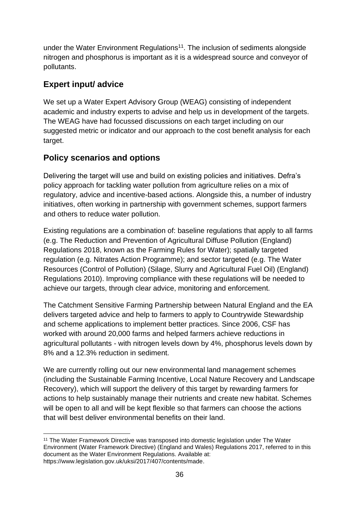under the Water Environment Regulations<sup>11</sup>. The inclusion of sediments alongside nitrogen and phosphorus is important as it is a widespread source and conveyor of pollutants.

# **Expert input/ advice**

We set up a Water Expert Advisory Group (WEAG) consisting of independent academic and industry experts to advise and help us in development of the targets. The WEAG have had focussed discussions on each target including on our suggested metric or indicator and our approach to the cost benefit analysis for each target.

# **Policy scenarios and options**

Delivering the target will use and build on existing policies and initiatives. Defra's policy approach for tackling water pollution from agriculture relies on a mix of regulatory, advice and incentive-based actions. Alongside this, a number of industry initiatives, often working in partnership with government schemes, support farmers and others to reduce water pollution.

Existing regulations are a combination of: baseline regulations that apply to all farms (e.g. The Reduction and Prevention of Agricultural Diffuse Pollution (England) Regulations 2018, known as the Farming Rules for Water); spatially targeted regulation (e.g. Nitrates Action Programme); and sector targeted (e.g. The Water Resources (Control of Pollution) (Silage, Slurry and Agricultural Fuel Oil) (England) Regulations 2010). Improving compliance with these regulations will be needed to achieve our targets, through clear advice, monitoring and enforcement.

The Catchment Sensitive Farming Partnership between Natural England and the EA delivers targeted advice and help to farmers to apply to Countrywide Stewardship and scheme applications to implement better practices. Since 2006, CSF has worked with around 20,000 farms and helped farmers achieve reductions in agricultural pollutants - with nitrogen levels down by 4%, phosphorus levels down by 8% and a 12.3% reduction in sediment.

We are currently rolling out our new environmental land management schemes (including the Sustainable Farming Incentive, Local Nature Recovery and Landscape Recovery), which will support the delivery of this target by rewarding farmers for actions to help sustainably manage their nutrients and create new habitat. Schemes will be open to all and will be kept flexible so that farmers can choose the actions that will best deliver environmental benefits on their land.

<sup>11</sup> The Water Framework Directive was transposed into domestic legislation under The Water Environment (Water Framework Directive) (England and Wales) Regulations 2017, referred to in this document as the Water Environment Regulations. Available at: [https://www.legislation.gov.uk/uksi/2017/407/contents/made.](https://www.legislation.gov.uk/uksi/2017/407/contents/made)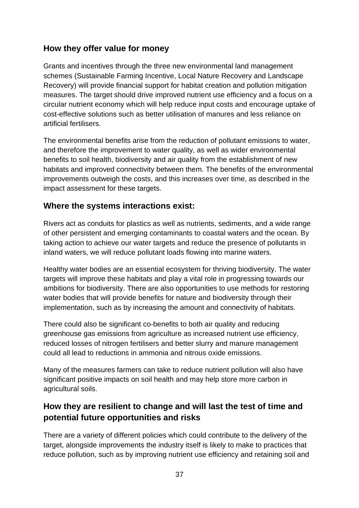## **How they offer value for money**

Grants and incentives through the three new environmental land management schemes [\(Sustainable Farming Incentive,](https://www.gov.uk/government/publications/sustainable-farming-incentive-how-the-scheme-will-work-in-2022/sustainable-farming-incentive-how-the-scheme-will-work-in-2022) [Local Nature Recovery](https://www.gov.uk/government/publications/local-nature-recovery-more-information-on-how-the-scheme-will-work) and [Landscape](https://www.gov.uk/government/publications/landscape-recovery-more-information-on-how-the-scheme-will-work)  [Recovery\)](https://www.gov.uk/government/publications/landscape-recovery-more-information-on-how-the-scheme-will-work) will provide financial support for habitat creation and pollution mitigation measures. The target should drive improved nutrient use efficiency and a focus on a circular nutrient economy which will help reduce input costs and encourage uptake of cost-effective solutions such as better utilisation of manures and less reliance on artificial fertilisers.

The environmental benefits arise from the reduction of pollutant emissions to water, and therefore the improvement to water quality, as well as wider environmental benefits to soil health, biodiversity and air quality from the establishment of new habitats and improved connectivity between them. The benefits of the environmental improvements outweigh the costs, and this increases over time, as described in the impact assessment for these targets.

### **Where the systems interactions exist:**

Rivers act as conduits for plastics as well as nutrients, sediments, and a wide range of other persistent and emerging contaminants to coastal waters and the ocean. By taking action to achieve our water targets and reduce the presence of pollutants in inland waters, we will reduce pollutant loads flowing into marine waters.

Healthy water bodies are an essential ecosystem for thriving biodiversity. The water targets will improve these habitats and play a vital role in progressing towards our ambitions for biodiversity. There are also opportunities to use methods for restoring water bodies that will provide benefits for nature and biodiversity through their implementation, such as by increasing the amount and connectivity of habitats.

There could also be significant co-benefits to both air quality and reducing greenhouse gas emissions from agriculture as increased nutrient use efficiency, reduced losses of nitrogen fertilisers and better slurry and manure management could all lead to reductions in ammonia and nitrous oxide emissions.

Many of the measures farmers can take to reduce nutrient pollution will also have significant positive impacts on soil health and may help store more carbon in agricultural soils.

# **How they are resilient to change and will last the test of time and potential future opportunities and risks**

There are a variety of different policies which could contribute to the delivery of the target, alongside improvements the industry itself is likely to make to practices that reduce pollution, such as by improving nutrient use efficiency and retaining soil and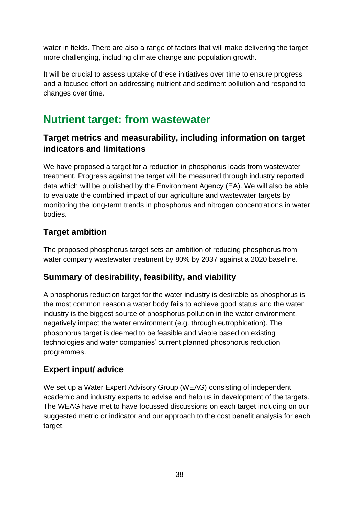water in fields. There are also a range of factors that will make delivering the target more challenging, including climate change and population growth.

It will be crucial to assess uptake of these initiatives over time to ensure progress and a focused effort on addressing nutrient and sediment pollution and respond to changes over time.

# **Nutrient target: from wastewater**

# **Target metrics and measurability, including information on target indicators and limitations**

We have proposed a target for a reduction in phosphorus loads from wastewater treatment. Progress against the target will be measured through industry reported data which will be published by the Environment Agency (EA). We will also be able to evaluate the combined impact of our agriculture and wastewater targets by monitoring the long-term trends in phosphorus and nitrogen concentrations in water bodies.

# **Target ambition**

The proposed phosphorus target sets an ambition of reducing phosphorus from water company wastewater treatment by 80% by 2037 against a 2020 baseline.

# **Summary of desirability, feasibility, and viability**

A phosphorus reduction target for the water industry is desirable as phosphorus is the most common reason a water body fails to achieve good status and the water industry is the biggest source of phosphorus pollution in the water environment, negatively impact the water environment (e.g. through eutrophication). The phosphorus target is deemed to be feasible and viable based on existing technologies and water companies' current planned phosphorus reduction programmes.

# **Expert input/ advice**

We set up a Water Expert Advisory Group (WEAG) consisting of independent academic and industry experts to advise and help us in development of the targets. The WEAG have met to have focussed discussions on each target including on our suggested metric or indicator and our approach to the cost benefit analysis for each target.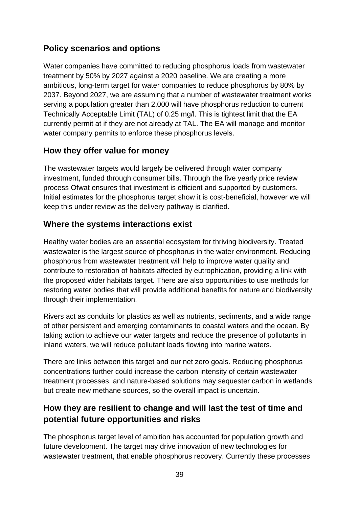# **Policy scenarios and options**

Water companies have committed to reducing phosphorus loads from wastewater treatment by 50% by 2027 against a 2020 baseline. We are creating a more ambitious, long-term target for water companies to reduce phosphorus by 80% by 2037. Beyond 2027, we are assuming that a number of wastewater treatment works serving a population greater than 2,000 will have phosphorus reduction to current Technically Acceptable Limit (TAL) of 0.25 mg/l. This is tightest limit that the EA currently permit at if they are not already at TAL. The EA will manage and monitor water company permits to enforce these phosphorus levels.

## **How they offer value for money**

The wastewater targets would largely be delivered through water company investment, funded through consumer bills. Through the five yearly price review process Ofwat ensures that investment is efficient and supported by customers. Initial estimates for the phosphorus target show it is cost-beneficial, however we will keep this under review as the delivery pathway is clarified.

## **Where the systems interactions exist**

Healthy water bodies are an essential ecosystem for thriving biodiversity. Treated wastewater is the largest source of phosphorus in the water environment. Reducing phosphorus from wastewater treatment will help to improve water quality and contribute to restoration of habitats affected by eutrophication, providing a link with the proposed wider habitats target. There are also opportunities to use methods for restoring water bodies that will provide additional benefits for nature and biodiversity through their implementation.

Rivers act as conduits for plastics as well as nutrients, sediments, and a wide range of other persistent and emerging contaminants to coastal waters and the ocean. By taking action to achieve our water targets and reduce the presence of pollutants in inland waters, we will reduce pollutant loads flowing into marine waters.

There are links between this target and our net zero goals. Reducing phosphorus concentrations further could increase the carbon intensity of certain wastewater treatment processes, and nature-based solutions may sequester carbon in wetlands but create new methane sources, so the overall impact is uncertain.

# **How they are resilient to change and will last the test of time and potential future opportunities and risks**

The phosphorus target level of ambition has accounted for population growth and future development. The target may drive innovation of new technologies for wastewater treatment, that enable phosphorus recovery. Currently these processes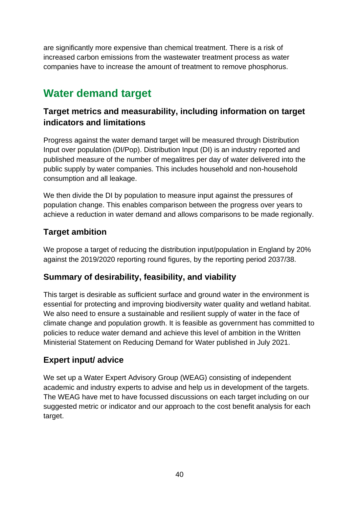are significantly more expensive than chemical treatment. There is a risk of increased carbon emissions from the wastewater treatment process as water companies have to increase the amount of treatment to remove phosphorus.

# **Water demand target**

# **Target metrics and measurability, including information on target indicators and limitations**

Progress against the water demand target will be measured through Distribution Input over population (DI/Pop). Distribution Input (DI) is an industry reported and published measure of the number of megalitres per day of water delivered into the public supply by water companies. This includes household and non-household consumption and all leakage.

We then divide the DI by population to measure input against the pressures of population change. This enables comparison between the progress over years to achieve a reduction in water demand and allows comparisons to be made regionally.

# **Target ambition**

We propose a target of reducing the distribution input/population in England by 20% against the 2019/2020 reporting round figures, by the reporting period 2037/38.

# **Summary of desirability, feasibility, and viability**

This target is desirable as sufficient surface and ground water in the environment is essential for protecting and improving biodiversity water quality and wetland habitat. We also need to ensure a sustainable and resilient supply of water in the face of climate change and population growth. It is feasible as government has committed to policies to reduce water demand and achieve this level of ambition in the Written Ministerial Statement on Reducing Demand for Water published in July 2021.

# **Expert input/ advice**

We set up a Water Expert Advisory Group (WEAG) consisting of independent academic and industry experts to advise and help us in development of the targets. The WEAG have met to have focussed discussions on each target including on our suggested metric or indicator and our approach to the cost benefit analysis for each target.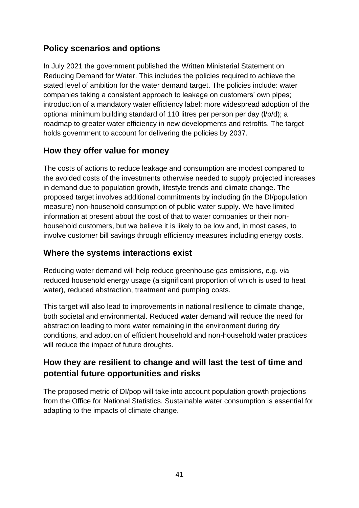# **Policy scenarios and options**

In July 2021 the government published the Written Ministerial Statement on Reducing Demand for Water. This includes the policies required to achieve the stated level of ambition for the water demand target. The policies include: water companies taking a consistent approach to leakage on customers' own pipes; introduction of a mandatory water efficiency label; more widespread adoption of the optional minimum building standard of 110 litres per person per day (l/p/d); a roadmap to greater water efficiency in new developments and retrofits. The target holds government to account for delivering the policies by 2037.

## **How they offer value for money**

The costs of actions to reduce leakage and consumption are modest compared to the avoided costs of the investments otherwise needed to supply projected increases in demand due to population growth, lifestyle trends and climate change. The proposed target involves additional commitments by including (in the DI/population measure) non-household consumption of public water supply. We have limited information at present about the cost of that to water companies or their nonhousehold customers, but we believe it is likely to be low and, in most cases, to involve customer bill savings through efficiency measures including energy costs.

### **Where the systems interactions exist**

Reducing water demand will help reduce greenhouse gas emissions, e.g. via reduced household energy usage (a significant proportion of which is used to heat water), reduced abstraction, treatment and pumping costs.

This target will also lead to improvements in national resilience to climate change, both societal and environmental. Reduced water demand will reduce the need for abstraction leading to more water remaining in the environment during dry conditions, and adoption of efficient household and non-household water practices will reduce the impact of future droughts.

# **How they are resilient to change and will last the test of time and potential future opportunities and risks**

The proposed metric of DI/pop will take into account population growth projections from the Office for National Statistics. Sustainable water consumption is essential for adapting to the impacts of climate change.